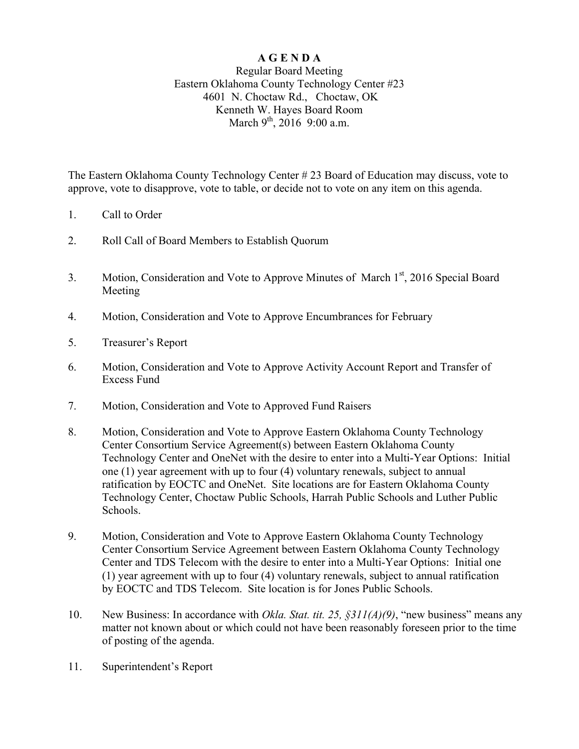## **A G E N D A**

## Regular Board Meeting Eastern Oklahoma County Technology Center #23 4601 N. Choctaw Rd., Choctaw, OK Kenneth W. Hayes Board Room March 9<sup>th</sup>, 2016 9:00 a.m.

The Eastern Oklahoma County Technology Center # 23 Board of Education may discuss, vote to approve, vote to disapprove, vote to table, or decide not to vote on any item on this agenda.

- 1. Call to Order
- 2. Roll Call of Board Members to Establish Quorum
- 3. Motion, Consideration and Vote to Approve Minutes of March 1st, 2016 Special Board Meeting
- 4. Motion, Consideration and Vote to Approve Encumbrances for February
- 5. Treasurer's Report
- 6. Motion, Consideration and Vote to Approve Activity Account Report and Transfer of Excess Fund
- 7. Motion, Consideration and Vote to Approved Fund Raisers
- 8. Motion, Consideration and Vote to Approve Eastern Oklahoma County Technology Center Consortium Service Agreement(s) between Eastern Oklahoma County Technology Center and OneNet with the desire to enter into a Multi-Year Options: Initial one (1) year agreement with up to four (4) voluntary renewals, subject to annual ratification by EOCTC and OneNet. Site locations are for Eastern Oklahoma County Technology Center, Choctaw Public Schools, Harrah Public Schools and Luther Public Schools.
- 9. Motion, Consideration and Vote to Approve Eastern Oklahoma County Technology Center Consortium Service Agreement between Eastern Oklahoma County Technology Center and TDS Telecom with the desire to enter into a Multi-Year Options: Initial one (1) year agreement with up to four (4) voluntary renewals, subject to annual ratification by EOCTC and TDS Telecom. Site location is for Jones Public Schools.
- 10. New Business: In accordance with *Okla. Stat. tit. 25, §311(A)(9)*, "new business" means any matter not known about or which could not have been reasonably foreseen prior to the time of posting of the agenda.
- 11. Superintendent's Report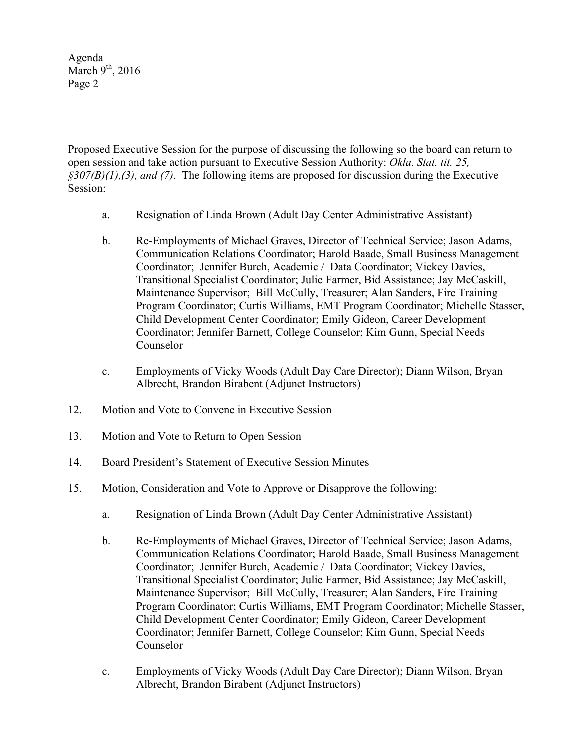Agenda March  $9<sup>th</sup>$ , 2016 Page 2

Proposed Executive Session for the purpose of discussing the following so the board can return to open session and take action pursuant to Executive Session Authority: *Okla. Stat. tit. 25, §307(B)(1),(3), and (7)*. The following items are proposed for discussion during the Executive Session:

- a. Resignation of Linda Brown (Adult Day Center Administrative Assistant)
- b. Re-Employments of Michael Graves, Director of Technical Service; Jason Adams, Communication Relations Coordinator; Harold Baade, Small Business Management Coordinator; Jennifer Burch, Academic / Data Coordinator; Vickey Davies, Transitional Specialist Coordinator; Julie Farmer, Bid Assistance; Jay McCaskill, Maintenance Supervisor; Bill McCully, Treasurer; Alan Sanders, Fire Training Program Coordinator; Curtis Williams, EMT Program Coordinator; Michelle Stasser, Child Development Center Coordinator; Emily Gideon, Career Development Coordinator; Jennifer Barnett, College Counselor; Kim Gunn, Special Needs Counselor
- c. Employments of Vicky Woods (Adult Day Care Director); Diann Wilson, Bryan Albrecht, Brandon Birabent (Adjunct Instructors)
- 12. Motion and Vote to Convene in Executive Session
- 13. Motion and Vote to Return to Open Session
- 14. Board President's Statement of Executive Session Minutes
- 15. Motion, Consideration and Vote to Approve or Disapprove the following:
	- a. Resignation of Linda Brown (Adult Day Center Administrative Assistant)
	- b. Re-Employments of Michael Graves, Director of Technical Service; Jason Adams, Communication Relations Coordinator; Harold Baade, Small Business Management Coordinator; Jennifer Burch, Academic / Data Coordinator; Vickey Davies, Transitional Specialist Coordinator; Julie Farmer, Bid Assistance; Jay McCaskill, Maintenance Supervisor; Bill McCully, Treasurer; Alan Sanders, Fire Training Program Coordinator; Curtis Williams, EMT Program Coordinator; Michelle Stasser, Child Development Center Coordinator; Emily Gideon, Career Development Coordinator; Jennifer Barnett, College Counselor; Kim Gunn, Special Needs Counselor
	- c. Employments of Vicky Woods (Adult Day Care Director); Diann Wilson, Bryan Albrecht, Brandon Birabent (Adjunct Instructors)